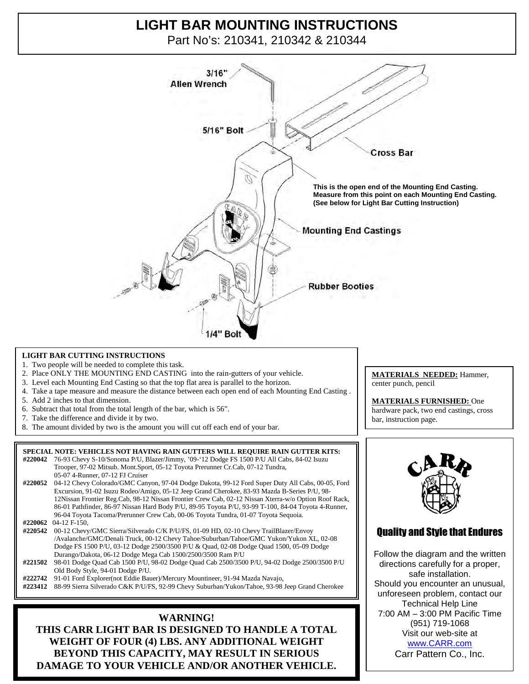# **LIGHT BAR MOUNTING INSTRUCTIONS**

Part No's: 210341, 210342 & 210344



#### **LIGHT BAR CUTTING INSTRUCTIONS**

- 1. Two people will be needed to complete this task.
- 2. Place ONLY THE MOUNTING END CASTING into the rain-gutters of your vehicle.
- 3. Level each Mounting End Casting so that the top flat area is parallel to the horizon.
- 4. Take a tape measure and measure the distance between each open end of each Mounting End Casting .
- 5. Add 2 inches to that dimension.
- 6. Subtract that total from the total length of the bar, which is 56".
- 7. Take the difference and divide it by two.
- 8. The amount divided by two is the amount you will cut off each end of your bar.

#### **SPECIAL NOTE: VEHICLES NOT HAVING RAIN GUTTERS WILL REQUIRE RAIN GUTTER KITS: #220042** 76-93 Chevy S-10/Sonoma P/U, Blazer/Jimmy, '09-'12 Dodge FS 1500 P/U All Cabs, 84-02 Isuzu

- Trooper, 97-02 Mitsub. Mont.Sport, 05-12 Toyota Prerunner Cr.Cab, 07-12 Tundra, 05-07 4-Runner, 07-12 FJ Cruiser
- **#220052** 04-12 Chevy Colorado/GMC Canyon, 97-04 Dodge Dakota, 99-12 Ford Super Duty All Cabs, 00-05, Ford Excursion, 91-02 Isuzu Rodeo/Amigo, 05-12 Jeep Grand Cherokee, 83-93 Mazda B-Series P/U, 98- 12Nissan Frontier Reg.Cab, 98-12 Nissan Frontier Crew Cab, 02-12 Nissan Xterra-w/o Option Roof Rack, 86-01 Pathfinder, 86-97 Nissan Hard Body P/U, 89-95 Toyota P/U, 93-99 T-100, 84-04 Toyota 4-Runner, 96-04 Toyota Tacoma/Prerunner Crew Cab, 00-06 Toyota Tundra, 01-07 Toyota Sequoia. **#220062** 04-12 F-150,
- **#220542** 00-12 Chevy/GMC Sierra/Silverado C/K P/U/FS, 01-09 HD, 02-10 Chevy TrailBlazer/Envoy /Avalanche/GMC/Denali Truck, 00-12 Chevy Tahoe/Suburban/Tahoe/GMC Yukon/Yukon XL, 02-08 Dodge FS 1500 P/U, 03-12 Dodge 2500/3500 P/U & Quad, 02-08 Dodge Quad 1500, 05-09 Dodge Durango/Dakota, 06-12 Dodge Mega Cab 1500/2500/3500 Ram P/U
- **#221502** 98-01 Dodge Quad Cab 1500 P/U, 98-02 Dodge Quad Cab 2500/3500 P/U, 94-02 Dodge 2500/3500 P/U Old Body Style, 94-01 Dodge P/U.
- **#222742** 91-01 Ford Explorer(not Eddie Bauer)/Mercury Mountineer, 91-94 Mazda Navajo,
- **#223412** 88-99 Sierra Silverado C&K P/U/FS, 92-99 Chevy Suburban/Yukon/Tahoe, 93-98 Jeep Grand Cherokee

**WARNING! THIS CARR LIGHT BAR IS DESIGNED TO HANDLE A TOTAL WEIGHT OF FOUR (4) LBS. ANY ADDITIONAL WEIGHT BEYOND THIS CAPACITY, MAY RESULT IN SERIOUS DAMAGE TO YOUR VEHICLE AND/OR ANOTHER VEHICLE.** 

#### **MATERIALS NEEDED:** Hammer, center punch, pencil

**MATERIALS FURNISHED:** One hardware pack, two end castings, cross bar, instruction page.



### Quality and Style that Endures

Follow the diagram and the written directions carefully for a proper, safe installation. Should you encounter an unusual, unforeseen problem, contact our Technical Help Line 7:00 AM – 3:00 PM Pacific Time (951) 719-1068 Visit our web-site at www.CARR.com Carr Pattern Co., Inc.